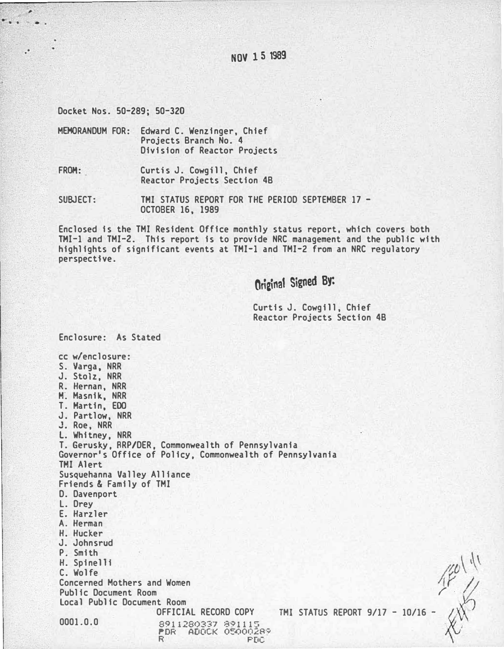. · NOV 15 1989

Docket Nos. 50-289; 50-320

 $\epsilon$ . .

> MEMORANDUM FOR: Edward C. Wenzinger, Chief Projects Branch No. 4 Division of Reactor Projects

FROH: Curtis J. Cowgill, Chief Reactor Projects Section 4B

SUBJECT: TMI STATUS REPORT FOR THE PERIOD SEPTEMBER 17 -OCTOBER 16, 1989

Enclosed is the TMI Resident Office monthly status report, which covers both THI-1 and TMI-2. This report is to provide NRC management and the public with highlights of significant events at TMI-1 and TMI-Z from an NRC regulatory perspective.

Original Signed By:

Curtis J. Cowgill, Chief Reactor Projects Section 4B

Enclosure: As Stated cc w/enclosure: S. Varga, NRR J. Stolz, NRR R. Hernan, NRR M. Masnik, NRR T. Hartin, EOO J. Partlow, NRR J. Roe, NRR L. Whitney, NRR T. Gerusky, RRP/DER, Commonwealth of Pennsylvania Governor's Office of Policy, Commonwealth of Pennsylvania THI Alert Susquehanna Valley Alliance Friends & Family of TMI D. Davenport L. Drey E. Harzler A. Herman H. Hucker J. Johnsrud P. Smith H. Spinelli C. Wolfe Concerned Mothers and Women Public Document Room local Public Document Room 0001.0.0 OFFICIAL RECORD COPY TMI STATUS REPORT 9/17 - 10/16 8911280337 891115<br>PDR - ADOCK 05000289  $\omega$ TMI STATUS REPORT 9/17 - 10/16 - /

R PDC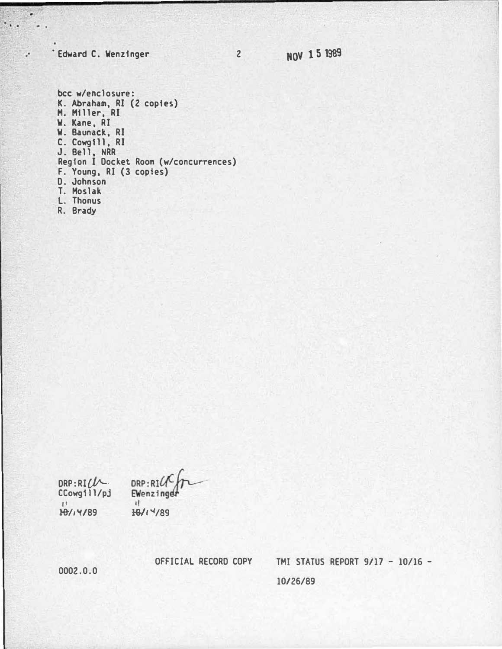# **Edward C. Wenzinger**

ä

 $\ddot{\phantom{a}}$ 

 $\mathcal{C}$  .

bcc w/enclosure: K. Abraham, RI (2 copies)<br>M. Miller, RI<br>W. Kane, RI<br>W. Baunack, RI C. Cowgill, RI<br>J. Bell, NRR Region I Docket Room (w/concurrences) F. Young, RI (3 copies)<br>D. Johnson<br>T. Moslak L. Thonus

R. Brady

DRP:RICL  $CCowg111/pj$  $11$ 18/14/89

DRP: RICK Ewenzinger  $\mathbf{d}$ HOY! Y/89

OFFICIAL RECORD COPY

TMI STATUS REPORT 9/17 - 10/16 -10/26/89

 $0002.0.0$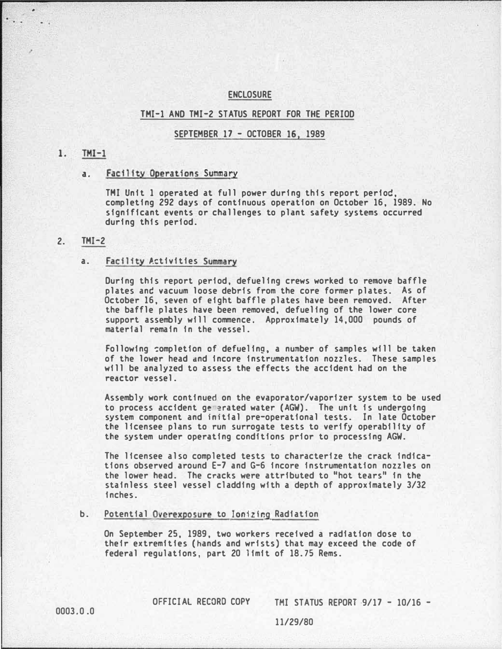#### ENCLOSURE

## THI-1 AND THI-2 STATUS REPORT FOR THE PERIOD

## SEPTEMBER 17 - OCTOBER 16, 1989

## $1.$  TMI-1

i.

## a. Facility Operations Summary

THI Unit 1 operated at full power during this report period, completing 292 days of continuous operation on October 16, 1989. No significant events or challenges to plant safety systems occurred during this period.

# 2. THI-2

### a. Facility Activities Summary

During this report period, defueling crews worked to remove baffle plates and vacuum loose debris from the core former plates. As of October 16, seven of eight baffle plates have been removed. After the baffle plates have been removed, defueling of the lower core support assembly will commence. Approximately 14,000 pounds of material remain in the vessel.

Following �ompletion of defueling, a number of samples will be taken of the lower head dnd incore instrumentation nozzles. These samples will be analyzed to assess the effects the accident had on the reactor vessel.

Assembly work continued on the evaporator/vaporizer system to be used to process accident ge �rated water (AGW). The unit is undergoing system component and initial pre-operational tests. In late October the licensee plans to run surrogate tests to verify operability of the system under operating conditions prior to processing AGW.

The licensee also completed tests to characterize the crack indications observed around E-7 and G-6 incore instrumentation nozzles on the lower head. The cracks were attributed to "hot tears" in the stainless steel vessel cladding with a depth of approximately 3/32 inches.

#### b. Potential Overexposure to Ionizing Radiation

On September 25, 1989, two workers received a radiation dose to their extremities (hands and wrists) that may exceed the code of federal regulations, part 20 limit of 18. 75 Rems.

OFFICIAL RECORD COPY TMI STATUS REPORT 9/17 - 10/16 -

0003.0.0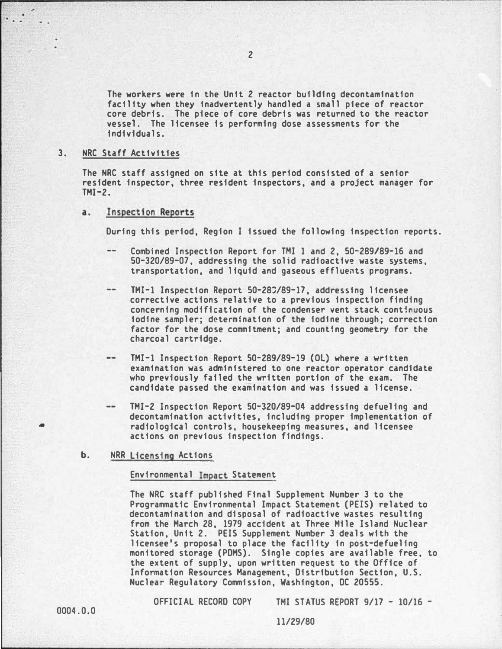The workers were in the Unit 2 reactor building decontamination facility when they inadvertently handled a small piece of reactor core debris. The piece of core debris was returned to the reactor vessel. The licensee is performing dose assessments for the individuals.

## 3. NRC Staff Activities

.•

The NRC staff assigned on site at this period consisted of a senior resident inspector, three resident inspectors, and a project manager for  $TM-2$ .

### a. Inspection Reports

During this period, Region I issued the following inspection reports.

- Combined Inspection Report for TMI 1 and 2, 50-289/89-16 and 50-320/89-07, addressing the solid radioactive waste systems, transportation, and liquid and gaseous effluents programs.
- $\qquad \qquad -$ TMI-1 Inspection Report 50-28�/89-17, addressing licensee corrective actions relative to a previous inspection finding concerning modification of the condenser vent stack continuous iodine sampler; determination of the iodine through; correction factor for the dose commitment; and counting geometry for the charcoal cartridge.
- $\qquad \qquad \cdots$ TMI-1 Inspection Report 50-289/89-19 (Ol) where a written examination was administered to one reactor operator candidate who previously failed the written portion of the exam. The candidate passed the examination and was issued a license.
- TMI-2 Inspection Report 50-320/89-04 addressing defueling and decontamination activities, including proper implementation of radiological controls, housekeeping measures, and licensee actions on previous inspection findings.
- b. NRR licensing Actions

# Environmental Impact Statement

The NRC staff published Final Supplement Number 3 to the Programmatic Environmental Impact Statement (PElS) related to decontamination and disposal of radioactive wastes resulting from the March 28, 1979 accident at Three Mile Island Nuclear Station, Unit 2. PElS Supplement Number 3 deals with the licensee's proposal to place the facility in post-defueling monitored storage (PDMS). Single copies are available free, to the extent of supply, upon written request to the Office of Information Resources Management, Distribution Section, U.S. Nuclear Regulatory Commission, Washington, DC 20555.

OFFICIAL RECORD COPY THI STATUS REPORT 9/17 - 10/16 -

•

. The second construction of  $\mathcal{L}_i$  ,  $\mathcal{L}_i$  ,  $\mathcal{L}_i$  ,  $\mathcal{L}_i$  ,  $\mathcal{L}_i$  ,  $\mathcal{L}_i$  ,  $\mathcal{L}_i$  ,  $\mathcal{L}_i$  ,  $\mathcal{L}_i$  ,  $\mathcal{L}_i$  ,  $\mathcal{L}_i$  ,  $\mathcal{L}_i$  ,  $\mathcal{L}_i$  ,  $\mathcal{L}_i$  ,  $\mathcal{L}_i$  ,  $\mathcal{L}_i$  ,